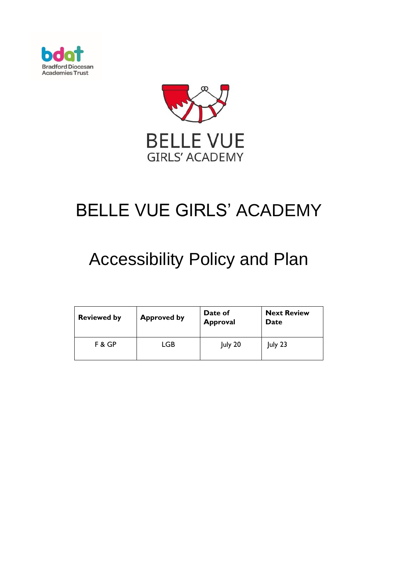



# BELLE VUE GIRLS' ACADEMY

## Accessibility Policy and Plan

| <b>Reviewed by</b> | <b>Approved by</b> | Date of<br><b>Approval</b> | <b>Next Review</b><br>Date |
|--------------------|--------------------|----------------------------|----------------------------|
| F & GP             | LGB                | July 20                    | $ $ uly 23                 |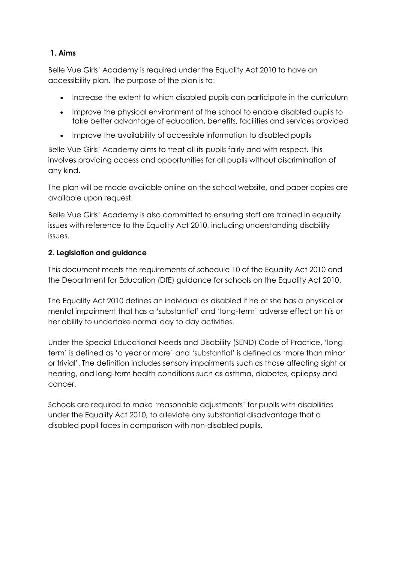#### **1. Aims**

Belle Vue Girls' Academy is required under the Equality Act 2010 to have an accessibility plan. The purpose of the plan is to:

- Increase the extent to which disabled pupils can participate in the curriculum
- Improve the physical environment of the school to enable disabled pupils to take better advantage of education, benefits, facilities and services provided
- Improve the availability of accessible information to disabled pupils

Belle Vue Girls' Academy aims to treat all its pupils fairly and with respect. This involves providing access and opportunities for all pupils without discrimination of any kind.

The plan will be made available online on the school website, and paper copies are available upon request.

Belle Vue Girls' Academy is also committed to ensuring staff are trained in equality issues with reference to the Equality Act 2010, including understanding disability issues.

#### **2. Legislation and guidance**

This document meets the requirements of [schedule 10 of the Equality Act 2010](http://www.legislation.gov.uk/ukpga/2010/15/schedule/10) and the Department for Education (DfE) [guidance for schools on the Equality Act 2010.](https://www.gov.uk/government/publications/equality-act-2010-advice-for-schools)

The Equality Act 2010 defines an individual as disabled if he or she has a physical or mental impairment that has a 'substantial' and 'long-term' adverse effect on his or her ability to undertake normal day to day activities.

Under the [Special Educational Needs and Disability \(SEND\) Code of Practice](https://www.gov.uk/government/publications/send-code-of-practice-0-to-25), 'longterm' is defined as 'a year or more' and 'substantial' is defined as 'more than minor or trivial'. The definition includes sensory impairments such as those affecting sight or hearing, and long-term health conditions such as asthma, diabetes, epilepsy and cancer.

Schools are required to make 'reasonable adjustments' for pupils with disabilities under the Equality Act 2010, to alleviate any substantial disadvantage that a disabled pupil faces in comparison with non-disabled pupils.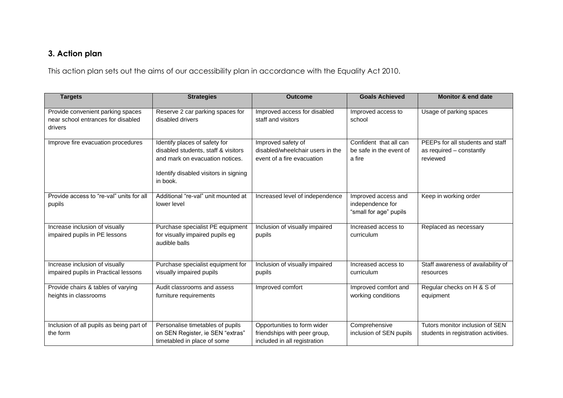### **3. Action plan**

This action plan sets out the aims of our accessibility plan in accordance with the Equality Act 2010.

| <b>Targets</b>                                                                     | <b>Strategies</b>                                                                                                                                            | <b>Outcome</b>                                                                              | <b>Goals Achieved</b>                                             | <b>Monitor &amp; end date</b>                                            |
|------------------------------------------------------------------------------------|--------------------------------------------------------------------------------------------------------------------------------------------------------------|---------------------------------------------------------------------------------------------|-------------------------------------------------------------------|--------------------------------------------------------------------------|
| Provide convenient parking spaces<br>near school entrances for disabled<br>drivers | Reserve 2 car parking spaces for<br>disabled drivers                                                                                                         | Improved access for disabled<br>staff and visitors                                          | Improved access to<br>school                                      | Usage of parking spaces                                                  |
| Improve fire evacuation procedures                                                 | Identify places of safety for<br>disabled students, staff & visitors<br>and mark on evacuation notices.<br>Identify disabled visitors in signing<br>in book. | Improved safety of<br>disabled/wheelchair users in the<br>event of a fire evacuation        | Confident that all can<br>be safe in the event of<br>a fire       | PEEPs for all students and staff<br>as required - constantly<br>reviewed |
| Provide access to "re-val" units for all<br>pupils                                 | Additional "re-val" unit mounted at<br>lower level                                                                                                           | Increased level of independence                                                             | Improved access and<br>independence for<br>"small for age" pupils | Keep in working order                                                    |
| Increase inclusion of visually<br>impaired pupils in PE lessons                    | Purchase specialist PE equipment<br>for visually impaired pupils eg<br>audible balls                                                                         | Inclusion of visually impaired<br>pupils                                                    | Increased access to<br>curriculum                                 | Replaced as necessary                                                    |
| Increase inclusion of visually<br>impaired pupils in Practical lessons             | Purchase specialist equipment for<br>visually impaired pupils                                                                                                | Inclusion of visually impaired<br>pupils                                                    | Increased access to<br>curriculum                                 | Staff awareness of availability of<br>resources                          |
| Provide chairs & tables of varying<br>heights in classrooms                        | Audit classrooms and assess<br>furniture requirements                                                                                                        | Improved comfort                                                                            | Improved comfort and<br>working conditions                        | Regular checks on H & S of<br>equipment                                  |
| Inclusion of all pupils as being part of<br>the form                               | Personalise timetables of pupils<br>on SEN Register, ie SEN "extras"<br>timetabled in place of some                                                          | Opportunities to form wider<br>friendships with peer group,<br>included in all registration | Comprehensive<br>inclusion of SEN pupils                          | Tutors monitor inclusion of SEN<br>students in registration activities.  |